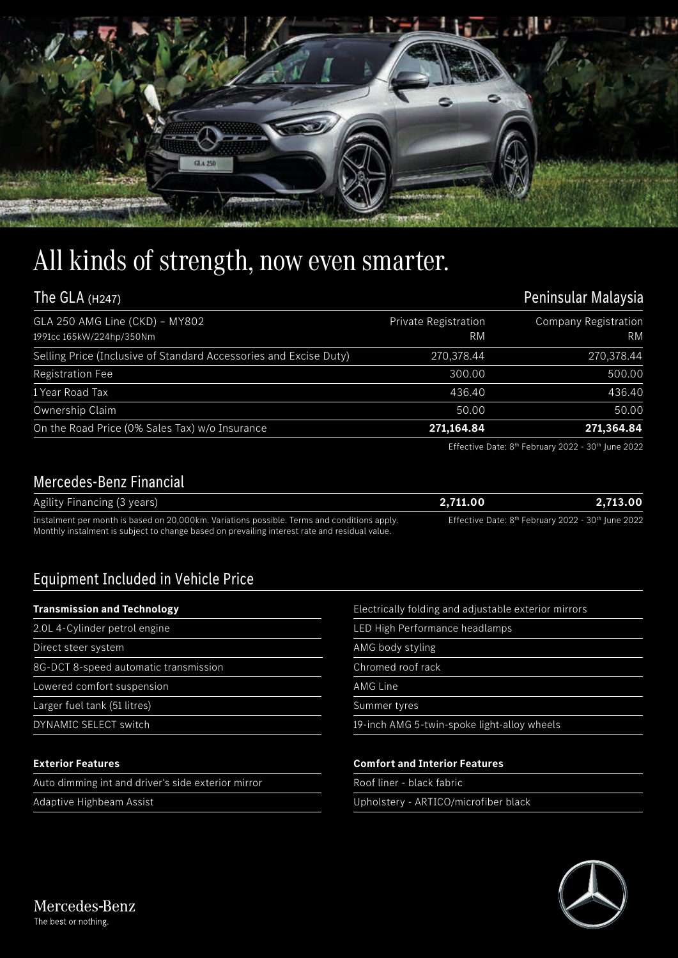

# All kinds of strength, now even smarter.

| The GLA $(H247)$                                                  |                            | Peninsular Malaysia               |  |  |
|-------------------------------------------------------------------|----------------------------|-----------------------------------|--|--|
| GLA 250 AMG Line (CKD) - MY802<br>1991cc 165kW/224hp/350Nm        | Private Registration<br>RM | Company Registration<br><b>RM</b> |  |  |
| Selling Price (Inclusive of Standard Accessories and Excise Duty) | 270,378.44                 | 270,378.44                        |  |  |
| <b>Registration Fee</b>                                           | 300.00                     | 500.00                            |  |  |
| 1 Year Road Tax                                                   | 436.40                     | 436.40                            |  |  |
| Ownership Claim                                                   | 50.00                      | 50.00                             |  |  |
| On the Road Price (0% Sales Tax) w/o Insurance                    | 271,164.84                 | 271,364.84                        |  |  |

Effective Date: 8<sup>th</sup> February 2022 - 30<sup>th</sup> June 2022

### Mercedes-Benz Financial

| Agility Financing (3 years)                                                                   | 2.711.00 | 2.713.00                                                                   |
|-----------------------------------------------------------------------------------------------|----------|----------------------------------------------------------------------------|
| Instalment per month is based on 20,000km. Variations possible. Terms and conditions apply.   |          | Effective Date: 8 <sup>th</sup> February 2022 - 30 <sup>th</sup> June 2022 |
| Monthly instalment is subject to change based on prevailing interest rate and residual value. |          |                                                                            |

## Equipment Included in Vehicle Price

#### **Transmission and Technology**

- 2.0L 4-Cylinder petrol engine Direct steer system 8G-DCT 8-speed automatic transmission Lowered comfort suspension
- Larger fuel tank (51 litres)
- DYNAMIC SELECT switch

#### **Exterior Features**

Auto dimming int and driver's side exterior mirror

Adaptive Highbeam Assist

| Electrically folding and adjustable exterior mirrors |  |  |  |
|------------------------------------------------------|--|--|--|
|                                                      |  |  |  |
|                                                      |  |  |  |
|                                                      |  |  |  |

LED High Performance headlamps

AMG body styling

Chromed roof rack

AMG Line

Summer tyres

19-inch AMG 5-twin-spoke light-alloy wheels

#### **Comfort and Interior Features**

Roof liner - black fabric

Upholstery - ARTICO/microfiber black